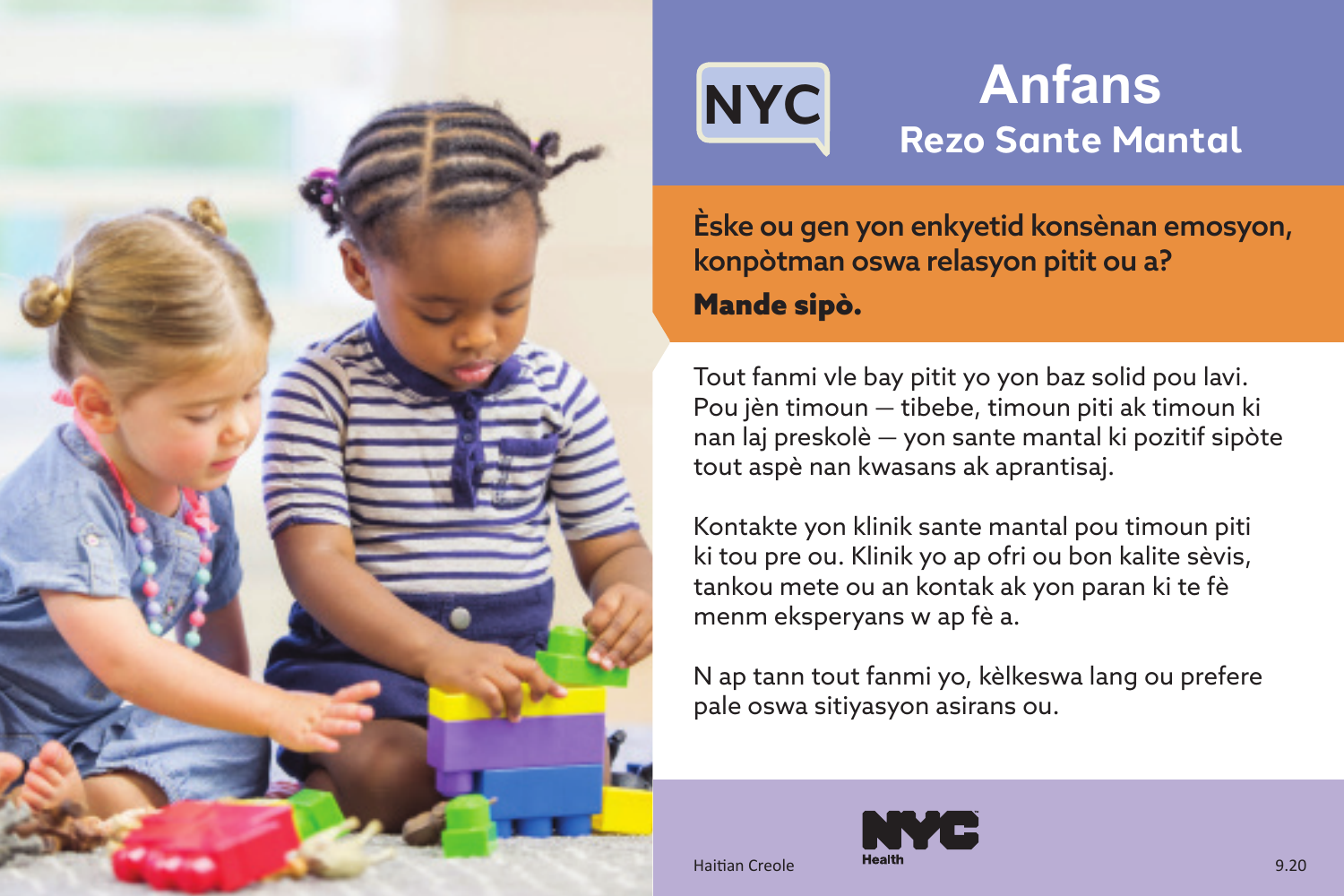

## **NYC Anfans Rezo Sante Mantal**

Èske ou gen yon enkyetid konsènan emosyon, konpòtman oswa relasyon pitit ou a? Mande sipò.

Tout fanmi vle bay pitit yo yon baz solid pou lavi. Pou jèn timoun — tibebe, timoun piti ak timoun ki nan laj preskolè — yon sante mantal ki pozitif sipòte tout aspè nan kwasans ak aprantisaj.

Kontakte yon klinik sante mantal pou timoun piti ki tou pre ou. Klinik yo ap ofri ou bon kalite sèvis, tankou mete ou an kontak ak yon paran ki te fè menm eksperyans w ap fè a.

N ap tann tout fanmi yo, kèlkeswa lang ou prefere pale oswa sitiyasyon asirans ou.